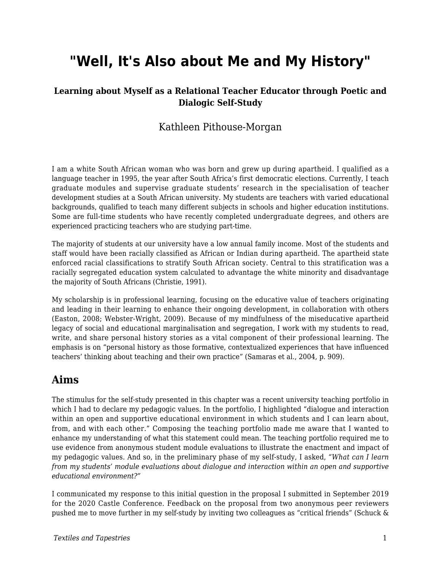# **"Well, It's Also about Me and My History"**

### **Learning about Myself as a Relational Teacher Educator through Poetic and Dialogic Self-Study**

### Kathleen Pithouse-Morgan

I am a white South African woman who was born and grew up during apartheid. I qualified as a language teacher in 1995, the year after South Africa's first democratic elections. Currently, I teach graduate modules and supervise graduate students' research in the specialisation of teacher development studies at a South African university. My students are teachers with varied educational backgrounds, qualified to teach many different subjects in schools and higher education institutions. Some are full-time students who have recently completed undergraduate degrees, and others are experienced practicing teachers who are studying part-time.

The majority of students at our university have a low annual family income. Most of the students and staff would have been racially classified as African or Indian during apartheid. The apartheid state enforced racial classifications to stratify South African society. Central to this stratification was a racially segregated education system calculated to advantage the white minority and disadvantage the majority of South Africans (Christie, 1991).

My scholarship is in professional learning, focusing on the educative value of teachers originating and leading in their learning to enhance their ongoing development, in collaboration with others (Easton, 2008; Webster-Wright, 2009). Because of my mindfulness of the miseducative apartheid legacy of social and educational marginalisation and segregation, I work with my students to read, write, and share personal history stories as a vital component of their professional learning. The emphasis is on "personal history as those formative, contextualized experiences that have influenced teachers' thinking about teaching and their own practice" (Samaras et al., 2004, p. 909).

# **Aims**

The stimulus for the self-study presented in this chapter was a recent university teaching portfolio in which I had to declare my pedagogic values. In the portfolio, I highlighted "dialogue and interaction within an open and supportive educational environment in which students and I can learn about, from, and with each other." Composing the teaching portfolio made me aware that I wanted to enhance my understanding of what this statement could mean. The teaching portfolio required me to use evidence from anonymous student module evaluations to illustrate the enactment and impact of my pedagogic values. And so, in the preliminary phase of my self-study, I asked, *"What can I learn from my students' module evaluations about dialogue and interaction within an open and supportive educational environment?"*

I communicated my response to this initial question in the proposal I submitted in September 2019 for the 2020 Castle Conference. Feedback on the proposal from two anonymous peer reviewers pushed me to move further in my self-study by inviting two colleagues as "critical friends" (Schuck &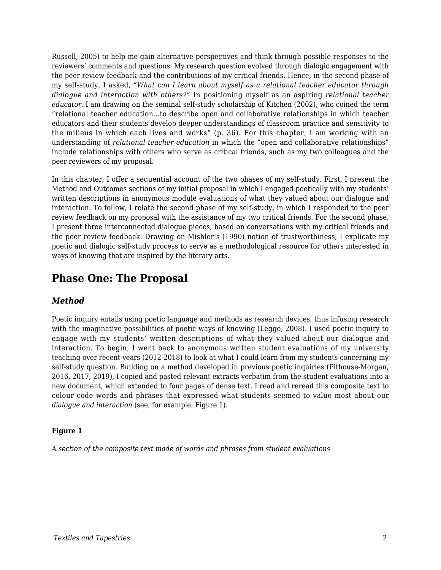Russell, 2005) to help me gain alternative perspectives and think through possible responses to the reviewers' comments and questions. My research question evolved through dialogic engagement with the peer review feedback and the contributions of my critical friends. Hence, in the second phase of my self-study, I asked, *"What can I learn about myself as a relational teacher educator through dialogue and interaction with others?"* In positioning myself as an aspiring *relational teacher educator*, I am drawing on the seminal self-study scholarship of Kitchen (2002), who coined the term "relational teacher education…to describe open and collaborative relationships in which teacher educators and their students develop deeper understandings of classroom practice and sensitivity to the milieus in which each lives and works" (p. 36). For this chapter, I am working with an understanding of *relational teacher education* in which the "open and collaborative relationships" include relationships with others who serve as critical friends, such as my two colleagues and the peer reviewers of my proposal.

In this chapter, I offer a sequential account of the two phases of my self-study. First, I present the Method and Outcomes sections of my initial proposal in which I engaged poetically with my students' written descriptions in anonymous module evaluations of what they valued about our dialogue and interaction. To follow, I relate the second phase of my self-study, in which I responded to the peer review feedback on my proposal with the assistance of my two critical friends. For the second phase, I present three interconnected dialogue pieces, based on conversations with my critical friends and the peer review feedback. Drawing on Mishler's (1990) notion of trustworthiness, I explicate my poetic and dialogic self-study process to serve as a methodological resource for others interested in ways of knowing that are inspired by the literary arts.

# **Phase One: The Proposal**

### *Method*

Poetic inquiry entails using poetic language and methods as research devices, thus infusing research with the imaginative possibilities of poetic ways of knowing (Leggo, 2008). I used poetic inquiry to engage with my students' written descriptions of what they valued about our dialogue and interaction. To begin, I went back to anonymous written student evaluations of my university teaching over recent years (2012-2018) to look at what I could learn from my students concerning my self-study question. Building on a method developed in previous poetic inquiries (Pithouse-Morgan, 2016, 2017, 2019), I copied and pasted relevant extracts verbatim from the student evaluations into a new document, which extended to four pages of dense text. I read and reread this composite text to colour code words and phrases that expressed what students seemed to value most about our *dialogue and interaction* (see, for example, Figure 1).

### **Figure 1**

*A section of the composite text made of words and phrases from student evaluations*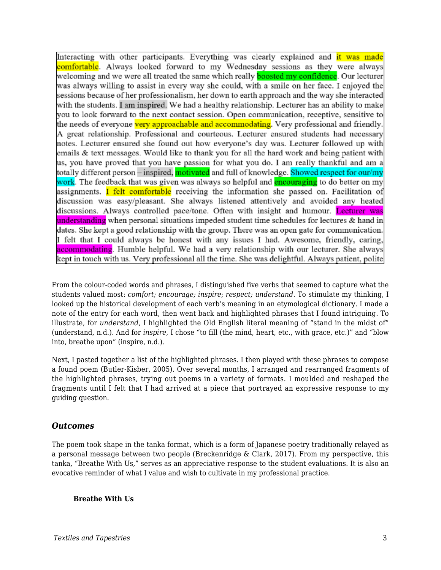Interacting with other participants. Everything was clearly explained and it was made comfortable. Always looked forward to my Wednesday sessions as they were always welcoming and we were all treated the same which really **boosted my confidence**. Our lecturer was always willing to assist in every way she could, with a smile on her face. I enjoyed the sessions because of her professionalism, her down to earth approach and the way she interacted with the students. I am inspired. We had a healthy relationship. Lecturer has an ability to make you to look forward to the next contact session. Open communication, receptive, sensitive to the needs of everyone <mark>very approachable and accommodating</mark>. Very professional and friendly. A great relationship. Professional and courteous. Lecturer ensured students had necessary notes. Lecturer ensured she found out how everyone's day was. Lecturer followed up with emails & text messages. Would like to thank you for all the hard work and being patient with us, you have proved that you have passion for what you do. I am really thankful and am a totally different person – inspired, motivated and full of knowledge. Showed respect for our/my work. The feedback that was given was always so helpful and **encouraging** to do better on my assignments. I felt comfortable receiving the information she passed on. Facilitation of discussion was easy/pleasant. She always listened attentively and avoided any heated discussions. Always controlled pace/tone. Often with insight and humour. Lecturer was <mark>understanding</mark> when personal situations impeded student time schedules for lectures & hand in dates. She kept a good relationship with the group. There was an open gate for communication. I felt that I could always be honest with any issues I had. Awesome, friendly, caring, accommodating. Humble helpful. We had a very relationship with our lecturer. She always kept in touch with us. Very professional all the time. She was delightful. Always patient, polite

From the colour-coded words and phrases, I distinguished five verbs that seemed to capture what the students valued most: *comfort; encourage; inspire*; *respect; understand*. To stimulate my thinking, I looked up the historical development of each verb's meaning in an etymological dictionary. I made a note of the entry for each word, then went back and highlighted phrases that I found intriguing. To illustrate, for *understand,* I highlighted the Old English literal meaning of "stand in the midst of" (understand, n.d.). And for *inspire*, I chose "to fill (the mind, heart, etc., with grace, etc.)" and "blow into, breathe upon" (inspire, n.d.).

Next, I pasted together a list of the highlighted phrases. I then played with these phrases to compose a found poem (Butler-Kisber, 2005). Over several months, I arranged and rearranged fragments of the highlighted phrases, trying out poems in a variety of formats. I moulded and reshaped the fragments until I felt that I had arrived at a piece that portrayed an expressive response to my guiding question.

### *Outcomes*

The poem took shape in the tanka format, which is a form of Japanese poetry traditionally relayed as a personal message between two people (Breckenridge & Clark, 2017). From my perspective, this tanka, "Breathe With Us," serves as an appreciative response to the student evaluations. It is also an evocative reminder of what I value and wish to cultivate in my professional practice.

#### **Breathe With Us**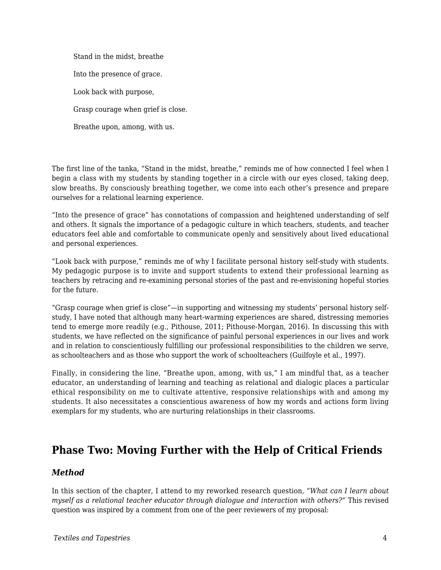Stand in the midst, breathe Into the presence of grace. Look back with purpose, Grasp courage when grief is close. Breathe upon, among, with us.

The first line of the tanka, "Stand in the midst, breathe," reminds me of how connected I feel when I begin a class with my students by standing together in a circle with our eyes closed, taking deep, slow breaths. By consciously breathing together, we come into each other's presence and prepare ourselves for a relational learning experience.

"Into the presence of grace" has connotations of compassion and heightened understanding of self and others. It signals the importance of a pedagogic culture in which teachers, students, and teacher educators feel able and comfortable to communicate openly and sensitively about lived educational and personal experiences.

"Look back with purpose," reminds me of why I facilitate personal history self-study with students. My pedagogic purpose is to invite and support students to extend their professional learning as teachers by retracing and re-examining personal stories of the past and re-envisioning hopeful stories for the future.

"Grasp courage when grief is close"—in supporting and witnessing my students' personal history selfstudy, I have noted that although many heart-warming experiences are shared, distressing memories tend to emerge more readily (e.g., Pithouse, 2011; Pithouse-Morgan, 2016). In discussing this with students, we have reflected on the significance of painful personal experiences in our lives and work and in relation to conscientiously fulfilling our professional responsibilities to the children we serve, as schoolteachers and as those who support the work of schoolteachers (Guilfoyle et al., 1997).

Finally, in considering the line, "Breathe upon, among, with us," I am mindful that, as a teacher educator, an understanding of learning and teaching as relational and dialogic places a particular ethical responsibility on me to cultivate attentive, responsive relationships with and among my students. It also necessitates a conscientious awareness of how my words and actions form living exemplars for my students, who are nurturing relationships in their classrooms.

# **Phase Two: Moving Further with the Help of Critical Friends**

### *Method*

In this section of the chapter, I attend to my reworked research question, *"What can I learn about myself as a relational teacher educator through dialogue and interaction with others?"* This revised question was inspired by a comment from one of the peer reviewers of my proposal: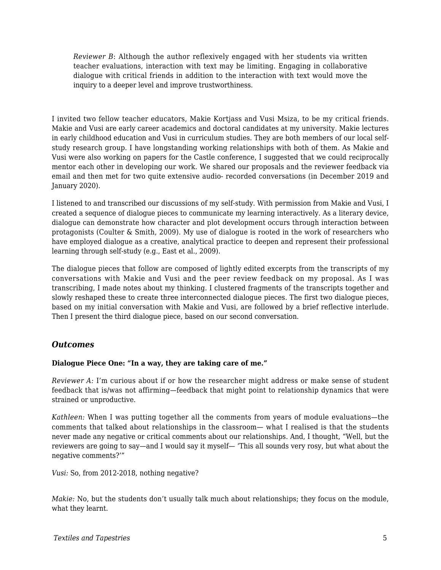*Reviewer B*: Although the author reflexively engaged with her students via written teacher evaluations, interaction with text may be limiting. Engaging in collaborative dialogue with critical friends in addition to the interaction with text would move the inquiry to a deeper level and improve trustworthiness.

I invited two fellow teacher educators, Makie Kortjass and Vusi Msiza, to be my critical friends. Makie and Vusi are early career academics and doctoral candidates at my university. Makie lectures in early childhood education and Vusi in curriculum studies. They are both members of our local selfstudy research group. I have longstanding working relationships with both of them. As Makie and Vusi were also working on papers for the Castle conference, I suggested that we could reciprocally mentor each other in developing our work. We shared our proposals and the reviewer feedback via email and then met for two quite extensive audio- recorded conversations (in December 2019 and January 2020).

I listened to and transcribed our discussions of my self-study. With permission from Makie and Vusi, I created a sequence of dialogue pieces to communicate my learning interactively. As a literary device, dialogue can demonstrate how character and plot development occurs through interaction between protagonists (Coulter & Smith, 2009). My use of dialogue is rooted in the work of researchers who have employed dialogue as a creative, analytical practice to deepen and represent their professional learning through self-study (e.g., East et al., 2009).

The dialogue pieces that follow are composed of lightly edited excerpts from the transcripts of my conversations with Makie and Vusi and the peer review feedback on my proposal. As I was transcribing, I made notes about my thinking. I clustered fragments of the transcripts together and slowly reshaped these to create three interconnected dialogue pieces. The first two dialogue pieces, based on my initial conversation with Makie and Vusi, are followed by a brief reflective interlude. Then I present the third dialogue piece, based on our second conversation.

### *Outcomes*

### **Dialogue Piece One: "In a way, they are taking care of me."**

*Reviewer A:* I'm curious about if or how the researcher might address or make sense of student feedback that is/was not affirming—feedback that might point to relationship dynamics that were strained or unproductive.

*Kathleen:* When I was putting together all the comments from years of module evaluations—the comments that talked about relationships in the classroom— what I realised is that the students never made any negative or critical comments about our relationships. And, I thought, "Well, but the reviewers are going to say—and I would say it myself— 'This all sounds very rosy, but what about the negative comments?'"

*Vusi:* So, from 2012-2018, nothing negative?

*Makie:* No, but the students don't usually talk much about relationships; they focus on the module, what they learnt.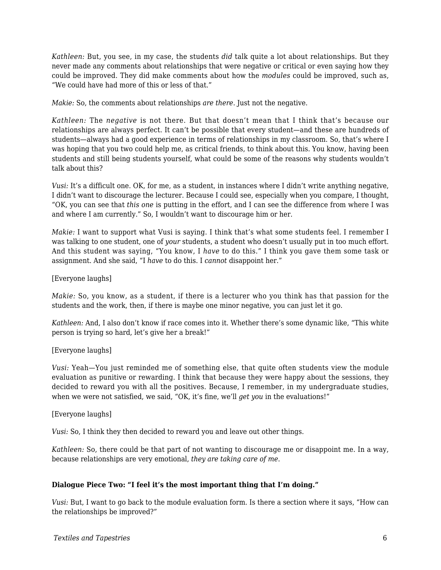*Kathleen:* But, you see, in my case, the students *did* talk quite a lot about relationships. But they never made any comments about relationships that were negative or critical or even saying how they could be improved. They did make comments about how the *modules* could be improved, such as, "We could have had more of this or less of that."

*Makie:* So, the comments about relationships *are there*. Just not the negative.

*Kathleen:* The *negative* is not there. But that doesn't mean that I think that's because our relationships are always perfect. It can't be possible that every student—and these are hundreds of students—always had a good experience in terms of relationships in my classroom. So, that's where I was hoping that you two could help me, as critical friends, to think about this. You know, having been students and still being students yourself, what could be some of the reasons why students wouldn't talk about this?

*Vusi:* It's a difficult one. OK, for me, as a student, in instances where I didn't write anything negative, I didn't want to discourage the lecturer. Because I could see, especially when you compare, I thought, "OK, you can see that *this one* is putting in the effort, and I can see the difference from where I was and where I am currently." So, I wouldn't want to discourage him or her.

*Makie:* I want to support what Vusi is saying. I think that's what some students feel. I remember I was talking to one student, one of *your* students, a student who doesn't usually put in too much effort. And this student was saying, "You know, I *have* to do this." I think you gave them some task or assignment. And she said, "I *have* to do this. I *cannot* disappoint her."

[Everyone laughs]

*Makie:* So, you know, as a student, if there is a lecturer who you think has that passion for the students and the work, then, if there is maybe one minor negative, you can just let it go.

*Kathleen:* And, I also don't know if race comes into it. Whether there's some dynamic like, "This white person is trying so hard, let's give her a break!"

[Everyone laughs]

*Vusi: Yeah*—You just reminded me of something else, that quite often students view the module evaluation as punitive or rewarding. I think that because they were happy about the sessions, they decided to reward you with all the positives. Because, I remember, in my undergraduate studies, when we were not satisfied, we said, "OK, it's fine, we'll *get you* in the evaluations!"

[Everyone laughs]

*Vusi:* So, I think they then decided to reward you and leave out other things.

*Kathleen:* So, there could be that part of not wanting to discourage me or disappoint me. In a way, because relationships are very emotional, *they are taking care of me*.

### **Dialogue Piece Two: "I feel it's the most important thing that I'm doing."**

*Vusi:* But, I want to go back to the module evaluation form. Is there a section where it says, "How can the relationships be improved?"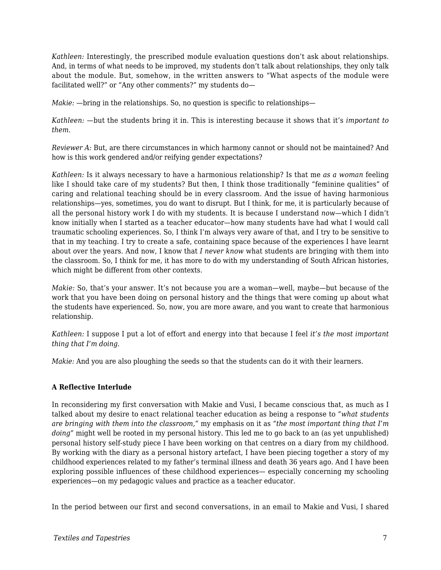*Kathleen:* Interestingly, the prescribed module evaluation questions don't ask about relationships. And, in terms of what needs to be improved, my students don't talk about relationships, they only talk about the module. But, somehow, in the written answers to "What aspects of the module were facilitated well?" or "Any other comments?" my students do—

*Makie:*  $-$ bring in the relationships. So, no question is specific to relationships—

*Kathleen:* —but the students bring it in. This is interesting because it shows that it's *important to them*.

*Reviewer A: But, are there circumstances in which harmony cannot or should not be maintained? And* how is this work gendered and/or reifying gender expectations?

*Kathleen:* Is it always necessary to have a harmonious relationship? Is that me *as a woman* feeling like I should take care of my students? But then, I think those traditionally "feminine qualities" of caring and relational teaching should be in every classroom. And the issue of having harmonious relationships—yes, sometimes, you do want to disrupt. But I think, for me, it is particularly because of all the personal history work I do with my students. It is because I understand *now*—which I didn't know initially when I started as a teacher educator—how many students have had what I would call traumatic schooling experiences. So, I think I'm always very aware of that, and I try to be sensitive to that in my teaching. I try to create a safe, containing space because of the experiences I have learnt about over the years. And now, I know that *I never know* what students are bringing with them into the classroom. So, I think for me, it has more to do with my understanding of South African histories, which might be different from other contexts.

*Makie:* So, that's your answer. It's not because you are a woman—well, maybe—but because of the work that you have been doing on personal history and the things that were coming up about what the students have experienced. So, now, you are more aware, and you want to create that harmonious relationship.

*Kathleen:* I suppose I put a lot of effort and energy into that because I feel *it's the most important thing that I'm doing*.

*Makie:* And you are also ploughing the seeds so that the students can do it with their learners.

#### **A Reflective Interlude**

In reconsidering my first conversation with Makie and Vusi, I became conscious that, as much as I talked about my desire to enact relational teacher education as being a response to *"what students are bringing with them into the classroom,"* my emphasis on it as *"the most important thing that I'm doing"* might well be rooted in my personal history. This led me to go back to an (as yet unpublished) personal history self-study piece I have been working on that centres on a diary from my childhood. By working with the diary as a personal history artefact, I have been piecing together a story of my childhood experiences related to my father's terminal illness and death 36 years ago. And I have been exploring possible influences of these childhood experiences— especially concerning my schooling experiences—on my pedagogic values and practice as a teacher educator.

In the period between our first and second conversations, in an email to Makie and Vusi, I shared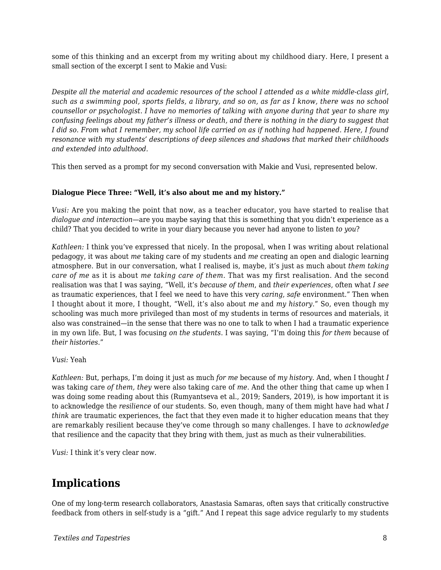some of this thinking and an excerpt from my writing about my childhood diary. Here, I present a small section of the excerpt I sent to Makie and Vusi:

*Despite all the material and academic resources of the school I attended as a white middle-class girl, such as a swimming pool, sports fields, a library, and so on, as far as I know, there was no school counsellor or psychologist. I have no memories of talking with anyone during that year to share my confusing feelings about my father's illness or death, and there is nothing in the diary to suggest that I did so. From what I remember, my school life carried on as if nothing had happened. Here, I found resonance with my students' descriptions of deep silences and shadows that marked their childhoods and extended into adulthood.*

This then served as a prompt for my second conversation with Makie and Vusi, represented below.

### **Dialogue Piece Three: "Well, it's also about me and my history."**

*Vusi:* Are you making the point that now, as a teacher educator, you have started to realise that *dialogue and interaction*—are you maybe saying that this is something that you didn't experience as a child? That you decided to write in your diary because you never had anyone to listen *to you*?

*Kathleen:* I think you've expressed that nicely. In the proposal, when I was writing about relational pedagogy, it was about *me* taking care of my students and *me* creating an open and dialogic learning atmosphere. But in our conversation, what I realised is, maybe, it's just as much about *them taking care of me* as it is about *me taking care of them*. That was my first realisation. And the second realisation was that I was saying, "Well, it's *because of them*, and *their experiences*, often what *I see* as traumatic experiences, that I feel we need to have this very *caring, safe* environment." Then when I thought about it more, I thought, "Well, it's also about *me* and *my history*." So, even though my schooling was much more privileged than most of my students in terms of resources and materials, it also was constrained—in the sense that there was no one to talk to when I had a traumatic experience in my own life. But, I was focusing *on the students*. I was saying, "I'm doing this *for them* because of *their histories*."

*Vusi:* Yeah

*Kathleen:* But, perhaps, I'm doing it just as much *for me* because of *my history*. And, when I thought *I* was taking care *of them, they* were also taking care of *me*. And the other thing that came up when I was doing some reading about this (Rumyantseva et al., 2019; Sanders, 2019), is how important it is to acknowledge the *resilience* of our students. So, even though, many of them might have had what *I think* are traumatic experiences, the fact that they even made it to higher education means that they are remarkably resilient because they've come through so many challenges. I have to *acknowledge* that resilience and the capacity that they bring with them, just as much as their vulnerabilities.

*Vusi:* I think it's very clear now.

# **Implications**

One of my long-term research collaborators, Anastasia Samaras, often says that critically constructive feedback from others in self-study is a "gift." And I repeat this sage advice regularly to my students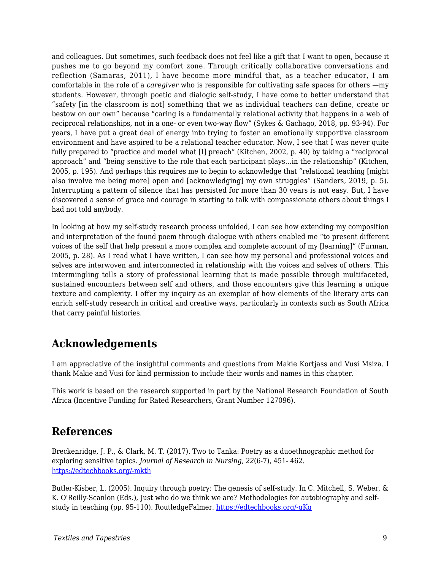and colleagues. But sometimes, such feedback does not feel like a gift that I want to open, because it pushes me to go beyond my comfort zone. Through critically collaborative conversations and reflection (Samaras, 2011), I have become more mindful that, as a teacher educator, I am comfortable in the role of a *caregiver* who is responsible for cultivating safe spaces for others —my students. However, through poetic and dialogic self-study, I have come to better understand that "safety [in the classroom is not] something that we as individual teachers can define, create or bestow on our own" because "caring is a fundamentally relational activity that happens in a web of reciprocal relationships, not in a one- or even two-way flow" (Sykes & Gachago, 2018, pp. 93-94). For years, I have put a great deal of energy into trying to foster an emotionally supportive classroom environment and have aspired to be a relational teacher educator. Now, I see that I was never quite fully prepared to "practice and model what [I] preach" (Kitchen, 2002, p. 40) by taking a "reciprocal approach" and "being sensitive to the role that each participant plays…in the relationship" (Kitchen, 2005, p. 195). And perhaps this requires me to begin to acknowledge that "relational teaching [might also involve me being more] open and [acknowledging] my own struggles" (Sanders, 2019, p. 5). Interrupting a pattern of silence that has persisted for more than 30 years is not easy. But, I have discovered a sense of grace and courage in starting to talk with compassionate others about things I had not told anybody.

In looking at how my self-study research process unfolded, I can see how extending my composition and interpretation of the found poem through dialogue with others enabled me "to present different voices of the self that help present a more complex and complete account of my [learning]" (Furman, 2005, p. 28). As I read what I have written, I can see how my personal and professional voices and selves are interwoven and interconnected in relationship with the voices and selves of others. This intermingling tells a story of professional learning that is made possible through multifaceted, sustained encounters between self and others, and those encounters give this learning a unique texture and complexity. I offer my inquiry as an exemplar of how elements of the literary arts can enrich self-study research in critical and creative ways, particularly in contexts such as South Africa that carry painful histories.

# **Acknowledgements**

I am appreciative of the insightful comments and questions from Makie Kortjass and Vusi Msiza. I thank Makie and Vusi for kind permission to include their words and names in this chapter.

This work is based on the research supported in part by the National Research Foundation of South Africa (Incentive Funding for Rated Researchers, Grant Number 127096).

## **References**

Breckenridge, J. P., & Clark, M. T. (2017). Two to Tanka: Poetry as a duoethnographic method for exploring sensitive topics. *Journal of Research in Nursing, 22*(6-7), 451- 462. [https://edtechbooks.org/-mkth](https://doi.org/10.1177/1744987117720824)

Butler-Kisber, L. (2005). Inquiry through poetry: The genesis of self-study. In C. Mitchell, S. Weber, & K. O'Reilly-Scanlon (Eds.), Just who do we think we are? Methodologies for autobiography and selfstudy in teaching (pp. 95-110). RoutledgeFalmer. [https://edtechbooks.org/-qKg](https://doi.org/10.4324/9780203464977_chapter_9)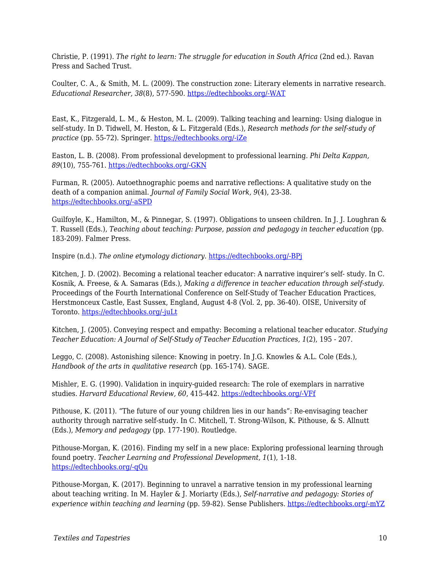Christie, P. (1991). *The right to learn: The struggle for education in South Africa* (2nd ed.). Ravan Press and Sached Trust.

Coulter, C. A., & Smith, M. L. (2009). The construction zone: Literary elements in narrative research. *Educational Researcher, 38*(8), 577-590. [https://edtechbooks.org/-WAT](https://doi.org/10.3102/0013189X09353787)

East, K., Fitzgerald, L. M., & Heston, M. L. (2009). Talking teaching and learning: Using dialogue in self-study. In D. Tidwell, M. Heston, & L. Fitzgerald (Eds.), *Research methods for the self-study of practice* (pp. 55-72). Springer. [https://edtechbooks.org/-iZe](https://doi.org/10.1007/978-1-4020-9514-6_4)

Easton, L. B. (2008). From professional development to professional learning. *Phi Delta Kappan, 89*(10), 755-761. [https://edtechbooks.org/-GKN](https://doi.org/10.1177/003172170808901014)

Furman, R. (2005). Autoethnographic poems and narrative reflections: A qualitative study on the death of a companion animal. *Journal of Family Social Work, 9*(4), 23-38. [https://edtechbooks.org/-aSPD](https://doi.org/10.1300/J039v09n04_03)

Guilfoyle, K., Hamilton, M., & Pinnegar, S. (1997). Obligations to unseen children. In J. J. Loughran & T. Russell (Eds.), *Teaching about teaching: Purpose, passion and pedagogy in teacher education* (pp. 183-209). Falmer Press.

Inspire (n.d.). *The online etymology dictionary*. [https://edtechbooks.org/-BPj](https://www.etymonline.com/word/inspire)

Kitchen, J. D. (2002). Becoming a relational teacher educator: A narrative inquirer's self- study. In C. Kosnik, A. Freese, & A. Samaras (Eds.), *Making a difference in teacher education through self-study.* Proceedings of the Fourth International Conference on Self-Study of Teacher Education Practices, Herstmonceux Castle, East Sussex, England, August 4-8 (Vol. 2, pp. 36-40). OISE, University of Toronto. [https://edtechbooks.org/-juLt](https://doi.org/10.1080/17425960500288374)

Kitchen, J. (2005). Conveying respect and empathy: Becoming a relational teacher educator. *Studying Teacher Education: A Journal of Self-Study of Teacher Education Practices, 1*(2), 195 - 207.

Leggo, C. (2008). Astonishing silence: Knowing in poetry. In J.G. Knowles & A.L. Cole (Eds.), *Handbook of the arts in qualitative research* (pp. 165-174). SAGE.

Mishler, E. G. (1990). Validation in inquiry-guided research: The role of exemplars in narrative studies. *Harvard Educational Review, 60*, 415-442. [https://edtechbooks.org/-VFf](https://doi.org/10.17763/haer.60.4.n4405243p6635752)

Pithouse, K. (2011). "The future of our young children lies in our hands": Re-envisaging teacher authority through narrative self-study. In C. Mitchell, T. Strong-Wilson, K. Pithouse, & S. Allnutt (Eds.), *Memory and pedagogy* (pp. 177-190). Routledge.

Pithouse-Morgan, K. (2016). Finding my self in a new place: Exploring professional learning through found poetry. *Teacher Learning and Professional Development, 1*(1), 1-18. [https://edtechbooks.org/-qQu](http://journals.sfu.ca/tlpd/index.php/tlpd/article/view/1)

Pithouse-Morgan, K. (2017). Beginning to unravel a narrative tension in my professional learning about teaching writing. In M. Hayler & J. Moriarty (Eds.), *Self-narrative and pedagogy: Stories of experience within teaching and learning* (pp. 59-82). Sense Publishers. [https://edtechbooks.org/-mYZ](https://doi.org/10.1007/978-94-6351-023-3_5)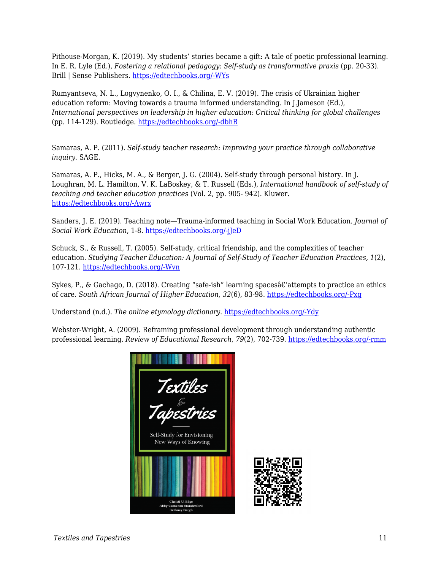Pithouse-Morgan, K. (2019). My students' stories became a gift: A tale of poetic professional learning. In E. R. Lyle (Ed.), *Fostering a relational pedagogy: Self-study as transformative praxis* (pp. 20-33). Brill | Sense Publishers. [https://edtechbooks.org/-WYs](https://doi.org/10.1163/9789004388864_003)

Rumyantseva, N. L., Logvynenko, O. I., & Chilina, E. V. (2019). The crisis of Ukrainian higher education reform: Moving towards a trauma informed understanding. In J.Jameson (Ed.), *International perspectives on leadership in higher education: Critical thinking for global challenges* (pp. 114-129). Routledge. [https://edtechbooks.org/-dbhB](https://doi.org/10.4324/9781315122410-11)

Samaras, A. P. (2011). *Self-study teacher research: Improving your practice through collaborative inquiry*. SAGE.

Samaras, A. P., Hicks, M. A., & Berger, J. G. (2004). Self-study through personal history. In J. Loughran, M. L. Hamilton, V. K. LaBoskey, & T. Russell (Eds.), *International handbook of self-study of teaching and teacher education practices* (Vol. 2, pp. 905- 942). Kluwer. [https://edtechbooks.org/-Awrx](https://doi.org/10.1007/978-1-4020-6545-3_23)

Sanders, J. E. (2019). Teaching note—Trauma-informed teaching in Social Work Education. *Journal of Social Work Education*, 1-8. [https://edtechbooks.org/-jJeD](https://doi.org/10.1080/10437797.2019.1661923)

Schuck, S., & Russell, T. (2005). Self-study, critical friendship, and the complexities of teacher education. *Studying Teacher Education: A Journal of Self-Study of Teacher Education Practices, 1*(2), 107-121. [https://edtechbooks.org/-Wvn](https://doi.org/10.1080/17425960500288291)

Sykes, P., & Gachago, D. (2018). Creating "safe-ish" learning spaces  $\hat{\alpha} \epsilon'$  attempts to practice an ethics of care. *South African Journal of Higher Education, 32*(6), 83-98. [https://edtechbooks.org/-Pxg](https://doi.org/10.20853/32-6-2654)

Understand (n.d.). *The online etymology dictionary*. [https://edtechbooks.org/-Ydy](https://www.etymonline.com/word/understand)

Webster-Wright, A. (2009). Reframing professional development through understanding authentic professional learning. *Review of Educational Research, 79*(2), 702-739. [https://edtechbooks.org/-rmm](https://doi.org/10.3102/0034654308330970)